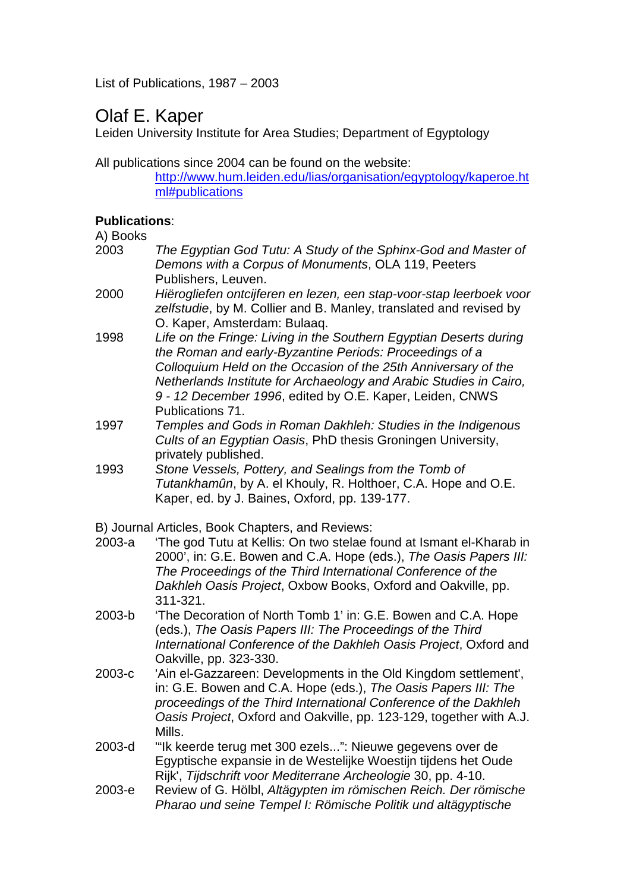List of Publications, 1987 – 2003

## Olaf E. Kaper

Leiden University Institute for Area Studies; Department of Egyptology

All publications since 2004 can be found on the website:

http://www.hum.leiden.edu/lias/organisation/egyptology/kaperoe.ht ml#publications

## **Publications**:

A) Books

- 2003 The Egyptian God Tutu: A Study of the Sphinx-God and Master of Demons with a Corpus of Monuments, OLA 119, Peeters Publishers, Leuven.
- 2000 Hiërogliefen ontcijferen en lezen, een stap-voor-stap leerboek voor zelfstudie, by M. Collier and B. Manley, translated and revised by O. Kaper, Amsterdam: Bulaaq.
- 1998 Life on the Fringe: Living in the Southern Egyptian Deserts during the Roman and early-Byzantine Periods: Proceedings of a Colloquium Held on the Occasion of the 25th Anniversary of the Netherlands Institute for Archaeology and Arabic Studies in Cairo, 9 - 12 December 1996, edited by O.E. Kaper, Leiden, CNWS Publications 71.
- 1997 Temples and Gods in Roman Dakhleh: Studies in the Indigenous Cults of an Egyptian Oasis, PhD thesis Groningen University, privately published.
- 1993 Stone Vessels, Pottery, and Sealings from the Tomb of Tutankhamûn, by A. el Khouly, R. Holthoer, C.A. Hope and O.E. Kaper, ed. by J. Baines, Oxford, pp. 139-177.

B) Journal Articles, Book Chapters, and Reviews:

- 2003-a 'The god Tutu at Kellis: On two stelae found at Ismant el-Kharab in 2000', in: G.E. Bowen and C.A. Hope (eds.), The Oasis Papers III: The Proceedings of the Third International Conference of the Dakhleh Oasis Project, Oxbow Books, Oxford and Oakville, pp. 311-321.
- 2003-b 'The Decoration of North Tomb 1' in: G.E. Bowen and C.A. Hope (eds.), The Oasis Papers III: The Proceedings of the Third International Conference of the Dakhleh Oasis Project, Oxford and Oakville, pp. 323-330.
- 2003-c 'Ain el-Gazzareen: Developments in the Old Kingdom settlement', in: G.E. Bowen and C.A. Hope (eds.), The Oasis Papers III: The proceedings of the Third International Conference of the Dakhleh Oasis Project, Oxford and Oakville, pp. 123-129, together with A.J. Mills.
- 2003-d '"Ik keerde terug met 300 ezels...": Nieuwe gegevens over de Egyptische expansie in de Westelijke Woestijn tijdens het Oude Rijk', Tijdschrift voor Mediterrane Archeologie 30, pp. 4-10.
- 2003-e Review of G. Hölbl, Altägypten im römischen Reich. Der römische Pharao und seine Tempel I: Römische Politik und altägyptische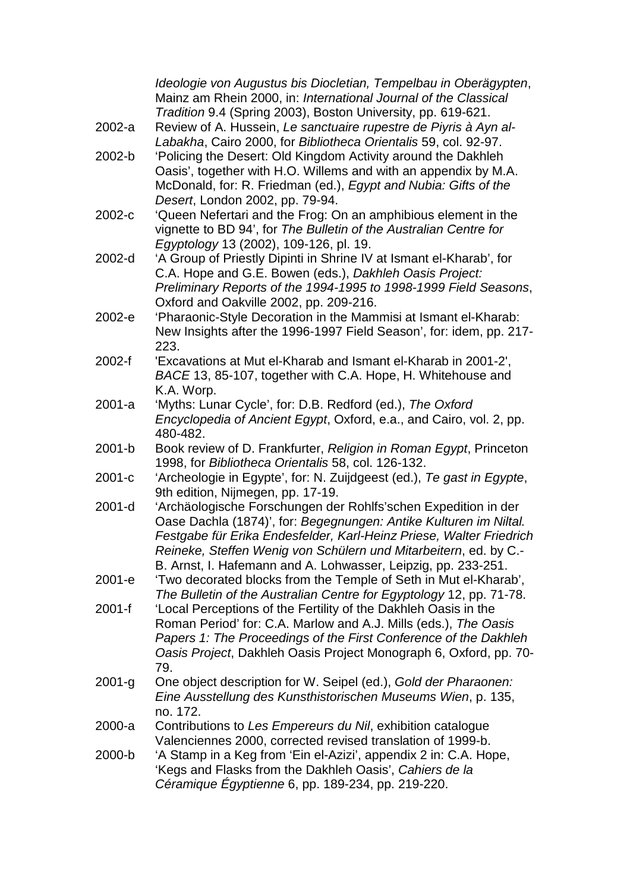|            | Ideologie von Augustus bis Diocletian, Tempelbau in Oberägypten,<br>Mainz am Rhein 2000, in: International Journal of the Classical                                                                                                                                                                                                             |
|------------|-------------------------------------------------------------------------------------------------------------------------------------------------------------------------------------------------------------------------------------------------------------------------------------------------------------------------------------------------|
| 2002-a     | Tradition 9.4 (Spring 2003), Boston University, pp. 619-621.<br>Review of A. Hussein, Le sanctuaire rupestre de Piyris à Ayn al-<br>Labakha, Cairo 2000, for Bibliotheca Orientalis 59, col. 92-97.                                                                                                                                             |
| 2002-b     | 'Policing the Desert: Old Kingdom Activity around the Dakhleh<br>Oasis', together with H.O. Willems and with an appendix by M.A.<br>McDonald, for: R. Friedman (ed.), Egypt and Nubia: Gifts of the<br>Desert, London 2002, pp. 79-94.                                                                                                          |
| 2002-c     | 'Queen Nefertari and the Frog: On an amphibious element in the<br>vignette to BD 94', for The Bulletin of the Australian Centre for<br>Egyptology 13 (2002), 109-126, pl. 19.                                                                                                                                                                   |
| 2002-d     | 'A Group of Priestly Dipinti in Shrine IV at Ismant el-Kharab', for<br>C.A. Hope and G.E. Bowen (eds.), Dakhleh Oasis Project:<br>Preliminary Reports of the 1994-1995 to 1998-1999 Field Seasons,<br>Oxford and Oakville 2002, pp. 209-216.                                                                                                    |
| 2002-е     | 'Pharaonic-Style Decoration in the Mammisi at Ismant el-Kharab:<br>New Insights after the 1996-1997 Field Season', for: idem, pp. 217-<br>223.                                                                                                                                                                                                  |
| 2002-f     | 'Excavations at Mut el-Kharab and Ismant el-Kharab in 2001-2',<br>BACE 13, 85-107, together with C.A. Hope, H. Whitehouse and<br>K.A. Worp.                                                                                                                                                                                                     |
| $2001-a$   | 'Myths: Lunar Cycle', for: D.B. Redford (ed.), The Oxford<br>Encyclopedia of Ancient Egypt, Oxford, e.a., and Cairo, vol. 2, pp.<br>480-482.                                                                                                                                                                                                    |
| 2001-b     | Book review of D. Frankfurter, Religion in Roman Egypt, Princeton<br>1998, for Bibliotheca Orientalis 58, col. 126-132.                                                                                                                                                                                                                         |
| 2001-c     | 'Archeologie in Egypte', for: N. Zuijdgeest (ed.), Te gast in Egypte,<br>9th edition, Nijmegen, pp. 17-19.                                                                                                                                                                                                                                      |
| 2001-d     | 'Archäologische Forschungen der Rohlfs'schen Expedition in der<br>Oase Dachla (1874)', for: Begegnungen: Antike Kulturen im Niltal.<br>Festgabe für Erika Endesfelder, Karl-Heinz Priese, Walter Friedrich<br>Reineke, Steffen Wenig von Schülern und Mitarbeitern, ed. by C.-<br>B. Arnst, I. Hafemann and A. Lohwasser, Leipzig, pp. 233-251. |
| 2001-е     | 'Two decorated blocks from the Temple of Seth in Mut el-Kharab',<br>The Bulletin of the Australian Centre for Egyptology 12, pp. 71-78.                                                                                                                                                                                                         |
| $2001 - f$ | 'Local Perceptions of the Fertility of the Dakhleh Oasis in the<br>Roman Period' for: C.A. Marlow and A.J. Mills (eds.), The Oasis<br>Papers 1: The Proceedings of the First Conference of the Dakhleh<br>Oasis Project, Dakhleh Oasis Project Monograph 6, Oxford, pp. 70-<br>79.                                                              |
| $2001-g$   | One object description for W. Seipel (ed.), Gold der Pharaonen:<br>Eine Ausstellung des Kunsthistorischen Museums Wien, p. 135,<br>no. 172.                                                                                                                                                                                                     |
| 2000-a     | Contributions to Les Empereurs du Nil, exhibition catalogue<br>Valenciennes 2000, corrected revised translation of 1999-b.                                                                                                                                                                                                                      |
| 2000-b     | 'A Stamp in a Keg from 'Ein el-Azizi', appendix 2 in: C.A. Hope,<br>'Kegs and Flasks from the Dakhleh Oasis', Cahiers de la<br>Céramique Égyptienne 6, pp. 189-234, pp. 219-220.                                                                                                                                                                |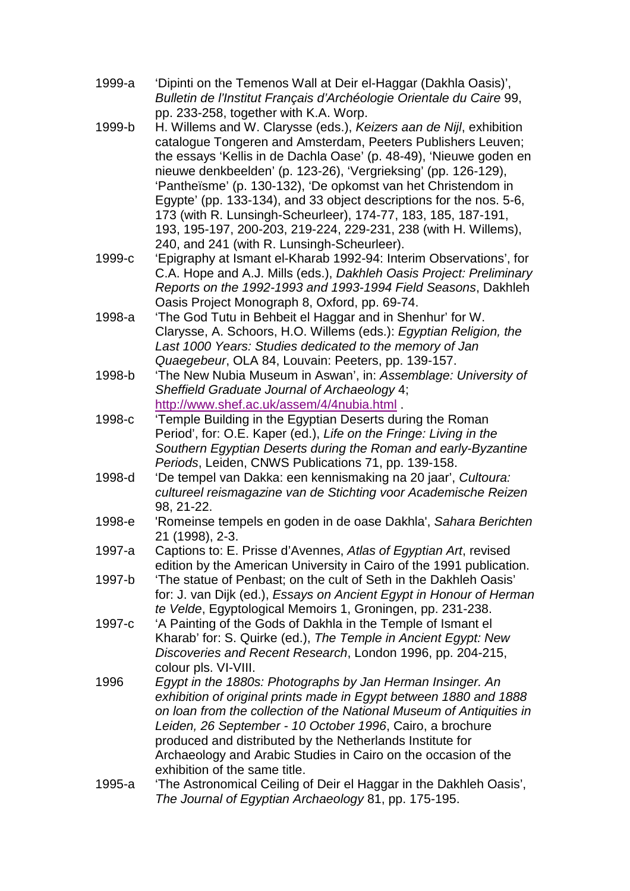- 1999-a 'Dipinti on the Temenos Wall at Deir el-Haggar (Dakhla Oasis)', Bulletin de l'Institut Français d'Archéologie Orientale du Caire 99, pp. 233-258, together with K.A. Worp.
- 1999-b H. Willems and W. Clarysse (eds.), Keizers aan de Nijl, exhibition catalogue Tongeren and Amsterdam, Peeters Publishers Leuven; the essays 'Kellis in de Dachla Oase' (p. 48-49), 'Nieuwe goden en nieuwe denkbeelden' (p. 123-26), 'Vergrieksing' (pp. 126-129), 'Pantheïsme' (p. 130-132), 'De opkomst van het Christendom in Egypte' (pp. 133-134), and 33 object descriptions for the nos. 5-6, 173 (with R. Lunsingh-Scheurleer), 174-77, 183, 185, 187-191, 193, 195-197, 200-203, 219-224, 229-231, 238 (with H. Willems), 240, and 241 (with R. Lunsingh-Scheurleer).
- 1999-c 'Epigraphy at Ismant el-Kharab 1992-94: Interim Observations', for C.A. Hope and A.J. Mills (eds.), Dakhleh Oasis Project: Preliminary Reports on the 1992-1993 and 1993-1994 Field Seasons, Dakhleh Oasis Project Monograph 8, Oxford, pp. 69-74.
- 1998-a 'The God Tutu in Behbeit el Haggar and in Shenhur' for W. Clarysse, A. Schoors, H.O. Willems (eds.): Egyptian Religion, the Last 1000 Years: Studies dedicated to the memory of Jan Quaegebeur, OLA 84, Louvain: Peeters, pp. 139-157.
- 1998-b 'The New Nubia Museum in Aswan', in: Assemblage: University of Sheffield Graduate Journal of Archaeology 4; http://www.shef.ac.uk/assem/4/4nubia.html .
- 1998-c 'Temple Building in the Egyptian Deserts during the Roman Period', for: O.E. Kaper (ed.), Life on the Fringe: Living in the Southern Egyptian Deserts during the Roman and early-Byzantine Periods, Leiden, CNWS Publications 71, pp. 139-158.
- 1998-d 'De tempel van Dakka: een kennismaking na 20 jaar', Cultoura: cultureel reismagazine van de Stichting voor Academische Reizen 98, 21-22.
- 1998-e 'Romeinse tempels en goden in de oase Dakhla', Sahara Berichten 21 (1998), 2-3.
- 1997-a Captions to: E. Prisse d'Avennes, Atlas of Egyptian Art, revised edition by the American University in Cairo of the 1991 publication.
- 1997-b 'The statue of Penbast; on the cult of Seth in the Dakhleh Oasis' for: J. van Dijk (ed.), Essays on Ancient Egypt in Honour of Herman te Velde, Egyptological Memoirs 1, Groningen, pp. 231-238.
- 1997-c 'A Painting of the Gods of Dakhla in the Temple of Ismant el Kharab' for: S. Quirke (ed.), The Temple in Ancient Egypt: New Discoveries and Recent Research, London 1996, pp. 204-215, colour pls. VI-VIII.
- 1996 Egypt in the 1880s: Photographs by Jan Herman Insinger. An exhibition of original prints made in Egypt between 1880 and 1888 on loan from the collection of the National Museum of Antiquities in Leiden, 26 September - 10 October 1996, Cairo, a brochure produced and distributed by the Netherlands Institute for Archaeology and Arabic Studies in Cairo on the occasion of the exhibition of the same title.
- 1995-a 'The Astronomical Ceiling of Deir el Haggar in the Dakhleh Oasis', The Journal of Egyptian Archaeology 81, pp. 175-195.